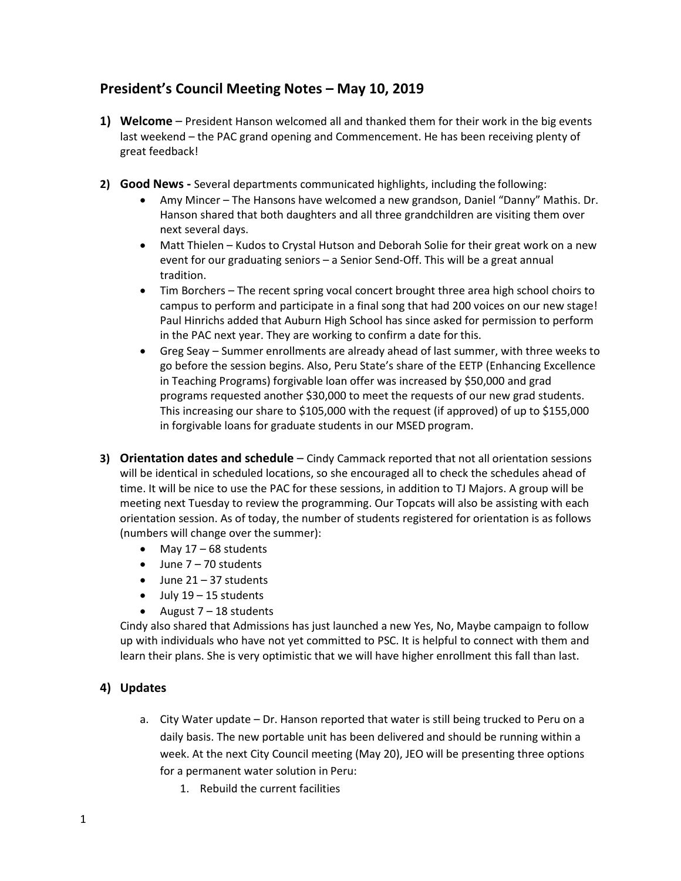## **President's Council Meeting Notes – May 10, 2019**

- **1) Welcome**  President Hanson welcomed all and thanked them for their work in the big events last weekend – the PAC grand opening and Commencement. He has been receiving plenty of great feedback!
- **2) Good News -** Several departments communicated highlights, including the following:
	- · Amy Mincer The Hansons have welcomed a new grandson, Daniel "Danny" Mathis. Dr. Hanson shared that both daughters and all three grandchildren are visiting them over next several days.
	- Matt Thielen Kudos to Crystal Hutson and Deborah Solie for their great work on a new event for our graduating seniors – a Senior Send-Off. This will be a great annual tradition.
	- · Tim Borchers The recent spring vocal concert brought three area high school choirs to campus to perform and participate in a final song that had 200 voices on our new stage! Paul Hinrichs added that Auburn High School has since asked for permission to perform in the PAC next year. They are working to confirm a date for this.
	- · Greg Seay Summer enrollments are already ahead of last summer, with three weeks to go before the session begins. Also, Peru State's share of the EETP (Enhancing Excellence in Teaching Programs) forgivable loan offer was increased by \$50,000 and grad programs requested another \$30,000 to meet the requests of our new grad students. This increasing our share to \$105,000 with the request (if approved) of up to \$155,000 in forgivable loans for graduate students in our MSED program.
- **3) Orientation dates and schedule**  Cindy Cammack reported that not all orientation sessions will be identical in scheduled locations, so she encouraged all to check the schedules ahead of time. It will be nice to use the PAC for these sessions, in addition to TJ Majors. A group will be meeting next Tuesday to review the programming. Our Topcats will also be assisting with each orientation session. As of today, the number of students registered for orientation is as follows (numbers will change over the summer):
	- May  $17 68$  students
	- $\bullet$  June 7 70 students
	- $\bullet$  June 21 37 students
	- $\bullet$  July 19 15 students
	- August  $7 18$  students

Cindy also shared that Admissions has just launched a new Yes, No, Maybe campaign to follow up with individuals who have not yet committed to PSC. It is helpful to connect with them and learn their plans. She is very optimistic that we will have higher enrollment this fall than last.

## **4) Updates**

- a. City Water update Dr. Hanson reported that water is still being trucked to Peru on a daily basis. The new portable unit has been delivered and should be running within a week. At the next City Council meeting (May 20), JEO will be presenting three options for a permanent water solution in Peru:
	- 1. Rebuild the current facilities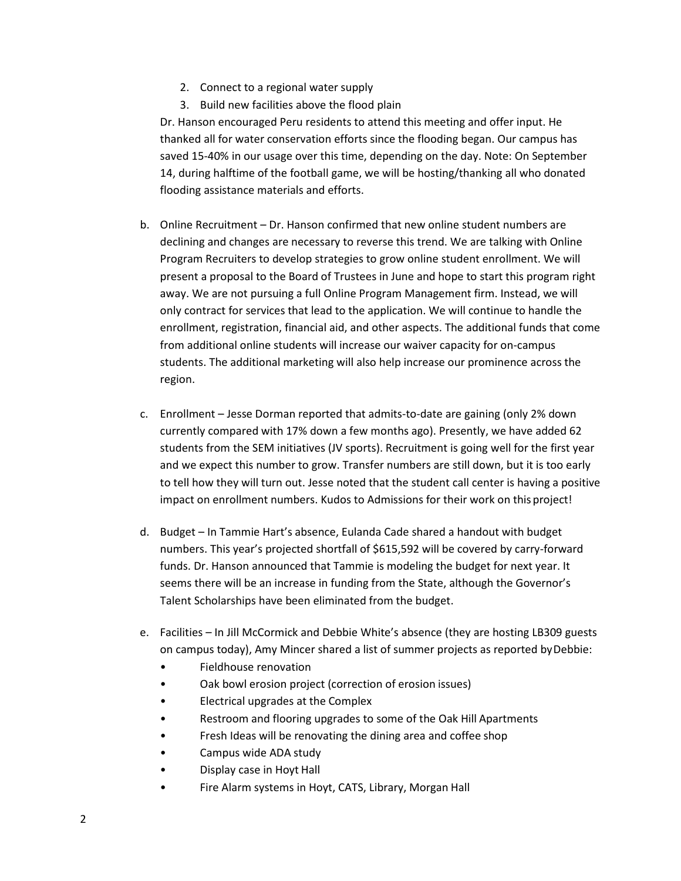- 2. Connect to a regional water supply
- 3. Build new facilities above the flood plain

Dr. Hanson encouraged Peru residents to attend this meeting and offer input. He thanked all for water conservation efforts since the flooding began. Our campus has saved 15-40% in our usage over this time, depending on the day. Note: On September 14, during halftime of the football game, we will be hosting/thanking all who donated flooding assistance materials and efforts.

- b. Online Recruitment Dr. Hanson confirmed that new online student numbers are declining and changes are necessary to reverse this trend. We are talking with Online Program Recruiters to develop strategies to grow online student enrollment. We will present a proposal to the Board of Trustees in June and hope to start this program right away. We are not pursuing a full Online Program Management firm. Instead, we will only contract for services that lead to the application. We will continue to handle the enrollment, registration, financial aid, and other aspects. The additional funds that come from additional online students will increase our waiver capacity for on-campus students. The additional marketing will also help increase our prominence across the region.
- c. Enrollment Jesse Dorman reported that admits-to-date are gaining (only 2% down currently compared with 17% down a few months ago). Presently, we have added 62 students from the SEM initiatives (JV sports). Recruitment is going well for the first year and we expect this number to grow. Transfer numbers are still down, but it is too early to tell how they will turn out. Jesse noted that the student call center is having a positive impact on enrollment numbers. Kudos to Admissions for their work on this project!
- d. Budget In Tammie Hart's absence, Eulanda Cade shared a handout with budget numbers. This year's projected shortfall of \$615,592 will be covered by carry-forward funds. Dr. Hanson announced that Tammie is modeling the budget for next year. It seems there will be an increase in funding from the State, although the Governor's Talent Scholarships have been eliminated from the budget.
- e. Facilities In Jill McCormick and Debbie White's absence (they are hosting LB309 guests on campus today), Amy Mincer shared a list of summer projects as reported byDebbie:
	- Fieldhouse renovation
	- Oak bowl erosion project (correction of erosion issues)
	- Electrical upgrades at the Complex
	- Restroom and flooring upgrades to some of the Oak Hill Apartments
	- Fresh Ideas will be renovating the dining area and coffee shop
	- Campus wide ADA study
	- Display case in Hoyt Hall
	- Fire Alarm systems in Hoyt, CATS, Library, Morgan Hall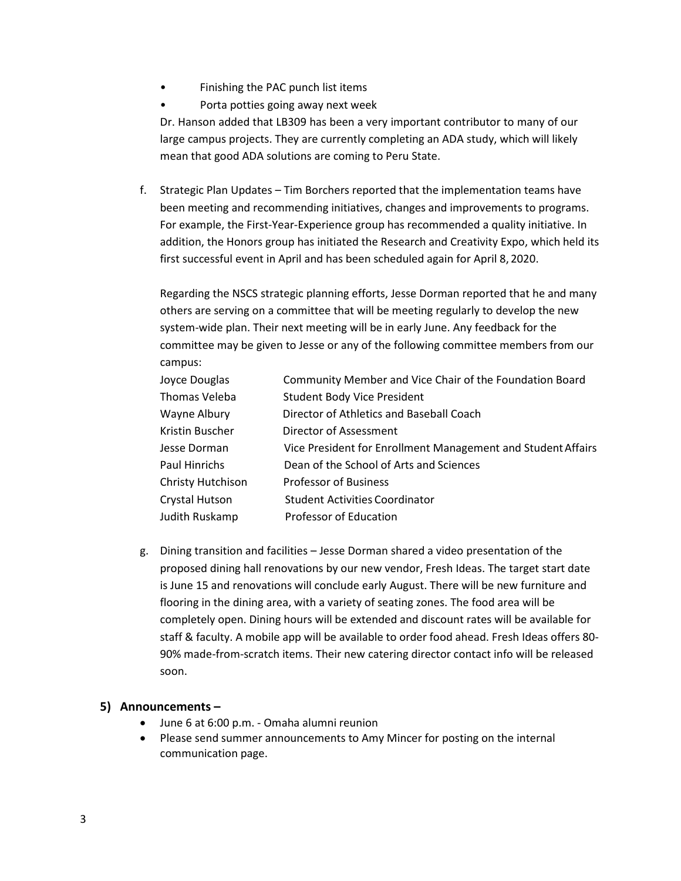- Finishing the PAC punch list items
- Porta potties going away next week

Dr. Hanson added that LB309 has been a very important contributor to many of our large campus projects. They are currently completing an ADA study, which will likely mean that good ADA solutions are coming to Peru State.

f. Strategic Plan Updates – Tim Borchers reported that the implementation teams have been meeting and recommending initiatives, changes and improvements to programs. For example, the First-Year-Experience group has recommended a quality initiative. In addition, the Honors group has initiated the Research and Creativity Expo, which held its first successful event in April and has been scheduled again for April 8, 2020.

Regarding the NSCS strategic planning efforts, Jesse Dorman reported that he and many others are serving on a committee that will be meeting regularly to develop the new system-wide plan. Their next meeting will be in early June. Any feedback for the committee may be given to Jesse or any of the following committee members from our campus:

| Joyce Douglas         | Community Member and Vice Chair of the Foundation Board      |
|-----------------------|--------------------------------------------------------------|
| Thomas Veleba         | <b>Student Body Vice President</b>                           |
| Wayne Albury          | Director of Athletics and Baseball Coach                     |
| Kristin Buscher       | Director of Assessment                                       |
| Jesse Dorman          | Vice President for Enrollment Management and Student Affairs |
| Paul Hinrichs         | Dean of the School of Arts and Sciences                      |
| Christy Hutchison     | <b>Professor of Business</b>                                 |
| <b>Crystal Hutson</b> | <b>Student Activities Coordinator</b>                        |
| Judith Ruskamp        | Professor of Education                                       |

g. Dining transition and facilities – Jesse Dorman shared a video presentation of the proposed dining hall renovations by our new vendor, Fresh Ideas. The target start date is June 15 and renovations will conclude early August. There will be new furniture and flooring in the dining area, with a variety of seating zones. The food area will be completely open. Dining hours will be extended and discount rates will be available for staff & faculty. A mobile app will be available to order food ahead. Fresh Ideas offers 80- 90% made-from-scratch items. Their new catering director contact info will be released soon.

## **5) Announcements –**

- · June 6 at 6:00 p.m. Omaha alumni reunion
- · Please send summer announcements to Amy Mincer for posting on the internal communication page.